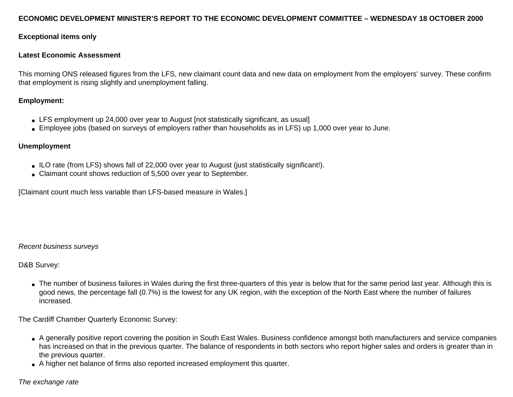### **ECONOMIC DEVELOPMENT MINISTER'S REPORT TO THE ECONOMIC DEVELOPMENT COMMITTEE – WEDNESDAY 18 OCTOBER 2000**

### **Exceptional items only**

#### **Latest Economic Assessment**

This morning ONS released figures from the LFS, new claimant count data and new data on employment from the employers' survey. These confirm that employment is rising slightly and unemployment falling.

### **Employment:**

- LFS employment up 24,000 over year to August [not statistically significant, as usual]
- Employee jobs (based on surveys of employers rather than households as in LFS) up 1,000 over year to June.

### **Unemployment**

- ILO rate (from LFS) shows fall of 22,000 over year to August (just statistically significant!).
- Claimant count shows reduction of 5,500 over year to September.

[Claimant count much less variable than LFS-based measure in Wales.]

#### *Recent business surveys*

D&B Survey:

• The number of business failures in Wales during the first three-quarters of this year is below that for the same period last year. Although this is good news, the percentage fall (0.7%) is the lowest for any UK region, with the exception of the North East where the number of failures increased.

The Cardiff Chamber Quarterly Economic Survey:

- A generally positive report covering the position in South East Wales. Business confidence amongst both manufacturers and service companies has increased on that in the previous quarter. The balance of respondents in both sectors who report higher sales and orders is greater than in the previous quarter.
- A higher net balance of firms also reported increased employment this quarter.

#### *The exchange rate*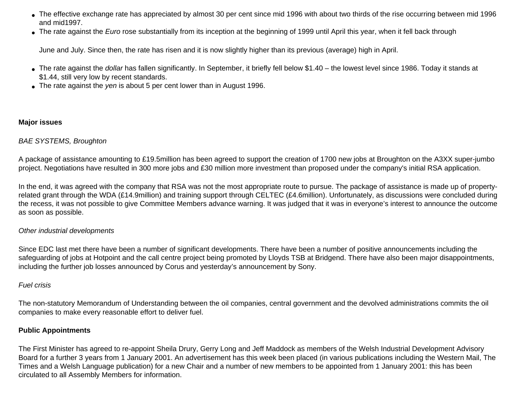- The effective exchange rate has appreciated by almost 30 per cent since mid 1996 with about two thirds of the rise occurring between mid 1996 and mid1997.
- The rate against the *Euro* rose substantially from its inception at the beginning of 1999 until April this year, when it fell back through

June and July. Since then, the rate has risen and it is now slightly higher than its previous (average) high in April.

- The rate against the *dollar* has fallen significantly. In September, it briefly fell below \$1.40 the lowest level since 1986. Today it stands at \$1.44, still very low by recent standards.
- The rate against the *yen* is about 5 per cent lower than in August 1996.

# **Major issues**

# *BAE SYSTEMS, Broughton*

A package of assistance amounting to £19.5million has been agreed to support the creation of 1700 new jobs at Broughton on the A3XX super-jumbo project. Negotiations have resulted in 300 more jobs and £30 million more investment than proposed under the company's initial RSA application.

In the end, it was agreed with the company that RSA was not the most appropriate route to pursue. The package of assistance is made up of propertyrelated grant through the WDA (£14.9million) and training support through CELTEC (£4.6million). Unfortunately, as discussions were concluded during the recess, it was not possible to give Committee Members advance warning. It was judged that it was in everyone's interest to announce the outcome as soon as possible.

## *Other industrial developments*

Since EDC last met there have been a number of significant developments. There have been a number of positive announcements including the safeguarding of jobs at Hotpoint and the call centre project being promoted by Lloyds TSB at Bridgend. There have also been major disappointments, including the further job losses announced by Corus and yesterday's announcement by Sony.

## *Fuel crisis*

The non-statutory Memorandum of Understanding between the oil companies, central government and the devolved administrations commits the oil companies to make every reasonable effort to deliver fuel.

## **Public Appointments**

The First Minister has agreed to re-appoint Sheila Drury, Gerry Long and Jeff Maddock as members of the Welsh Industrial Development Advisory Board for a further 3 years from 1 January 2001. An advertisement has this week been placed (in various publications including the Western Mail, The Times and a Welsh Language publication) for a new Chair and a number of new members to be appointed from 1 January 2001: this has been circulated to all Assembly Members for information.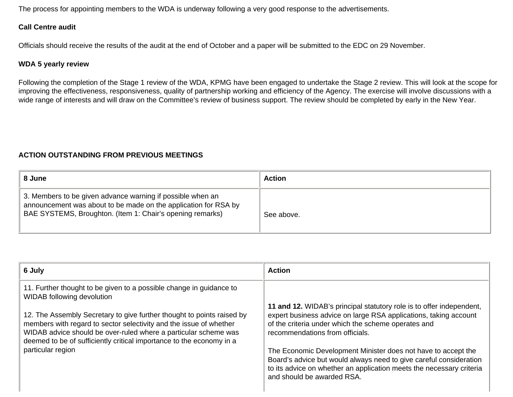The process for appointing members to the WDA is underway following a very good response to the advertisements.

## **Call Centre audit**

Officials should receive the results of the audit at the end of October and a paper will be submitted to the EDC on 29 November.

### **WDA 5 yearly review**

Following the completion of the Stage 1 review of the WDA, KPMG have been engaged to undertake the Stage 2 review. This will look at the scope for improving the effectiveness, responsiveness, quality of partnership working and efficiency of the Agency. The exercise will involve discussions with a wide range of interests and will draw on the Committee's review of business support. The review should be completed by early in the New Year.

# **ACTION OUTSTANDING FROM PREVIOUS MEETINGS**

| 8 June                                                                                                                                                                                     | <b>Action</b> |
|--------------------------------------------------------------------------------------------------------------------------------------------------------------------------------------------|---------------|
| 3. Members to be given advance warning if possible when an<br>announcement was about to be made on the application for RSA by<br>BAE SYSTEMS, Broughton. (Item 1: Chair's opening remarks) | See above.    |

| 6 July                                                                                                                                                                                                                                                                                  | <b>Action</b>                                                                                                                                                                                                                             |
|-----------------------------------------------------------------------------------------------------------------------------------------------------------------------------------------------------------------------------------------------------------------------------------------|-------------------------------------------------------------------------------------------------------------------------------------------------------------------------------------------------------------------------------------------|
| 11. Further thought to be given to a possible change in guidance to<br>WIDAB following devolution                                                                                                                                                                                       |                                                                                                                                                                                                                                           |
| 12. The Assembly Secretary to give further thought to points raised by<br>members with regard to sector selectivity and the issue of whether<br>WIDAB advice should be over-ruled where a particular scheme was<br>deemed to be of sufficiently critical importance to the economy in a | 11 and 12. WIDAB's principal statutory role is to offer independent,<br>expert business advice on large RSA applications, taking account<br>of the criteria under which the scheme operates and<br>recommendations from officials.        |
| particular region                                                                                                                                                                                                                                                                       | The Economic Development Minister does not have to accept the<br>Board's advice but would always need to give careful consideration<br>to its advice on whether an application meets the necessary criteria<br>and should be awarded RSA. |